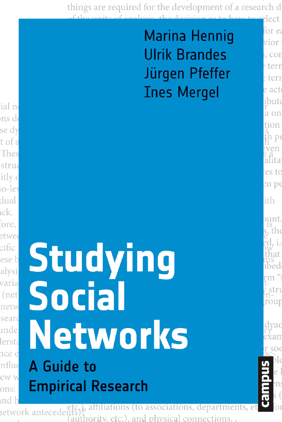things are required for the development of a research d lect

### **Marina Hennig Ulrik Brandes** Jürgen Pfeffer **Ines Mergel**

for e vior , cor terr e teri e act ibut a on tion  $D($ ven ălita es to  $en<sub>p<sub>f</sub></sub>$ 

ith

unt. the i. hat ibed

stri rout

# **Studying Social Networks** A Guide to **Empirical Research**

affiliations (to associations, department etwork antecedent (authority, etc.), and physical connections.,

ial no ns d se dv t of a Thes struc itly o o-ley dual ıck. fore, etwee cific ese b alysi varia (net netw seard .nde lersta nce e nflue ew w ons: und l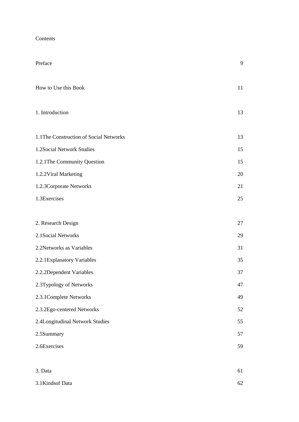| Contents |  |
|----------|--|
|----------|--|

| Preface                                 | 9  |
|-----------------------------------------|----|
| How to Use this Book                    | 11 |
| 1. Introduction                         | 13 |
| 1.1 The Construction of Social Networks | 13 |
| 1.2Social Network Studies               | 15 |
| 1.2.1 The Community Question            | 15 |
| 1.2.2 Viral Marketing                   | 20 |
| 1.2.3 Corporate Networks                | 21 |
| 1.3Exercises                            | 25 |
|                                         |    |
| 2. Research Design                      | 27 |
| 2.1 Social Networks                     | 29 |
| 2.2Networks as Variables                | 31 |
| 2.2.1 Explanatory Variables             | 35 |
| 2.2.2Dependent Variables                | 37 |
| 2.3Typology of Networks                 | 47 |
| 2.3.1 Complete Networks                 | 49 |
| 2.3.2Ego-centered Networks              | 52 |
| 2.4Longitudinal Network Studies         | 55 |
| 2.5Summary                              | 57 |
| 2.6Exercises                            | 59 |
| 3. Data                                 | 61 |
| 3.1Kindsof Data                         | 62 |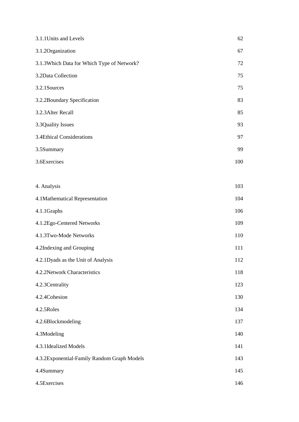| 3.1.1 Units and Levels                      | 62  |
|---------------------------------------------|-----|
| 3.1.2Organization                           | 67  |
| 3.1.3Which Data for Which Type of Network?  | 72  |
| 3.2Data Collection                          | 75  |
| 3.2.1Sources                                | 75  |
| 3.2.2Boundary Specification                 | 83  |
| 3.2.3 Alter Recall                          | 85  |
| 3.3Quality Issues                           | 93  |
| 3.4Ethical Considerations                   | 97  |
| 3.5Summary                                  | 99  |
| 3.6Exercises                                | 100 |
|                                             |     |
| 4. Analysis                                 | 103 |
| 4.1Mathematical Representation              | 104 |
| 4.1.1Graphs                                 | 106 |
| 4.1.2Ego-Centered Networks                  | 109 |
| 4.1.3Two-Mode Networks                      | 110 |
| 4.2Indexing and Grouping                    | 111 |
| 4.2.1Dyads as the Unit of Analysis          | 112 |
| 4.2.2Network Characteristics                | 118 |
| 4.2.3 Centrality                            | 123 |
| 4.2.4Cohesion                               | 130 |
| 4.2.5Roles                                  | 134 |
| 4.2.6Blockmodeling                          | 137 |
| 4.3Modeling                                 | 140 |
| 4.3.1Idealized Models                       | 141 |
| 4.3.2Exponential-Family Random Graph Models | 143 |
| 4.4Summary                                  | 145 |
| 4.5Exercises                                | 146 |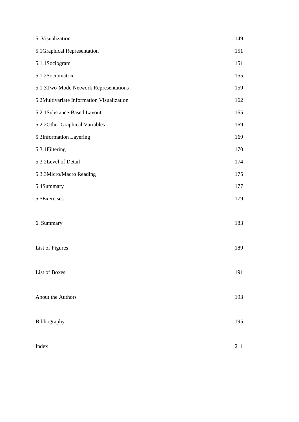| 5. Visualization                          | 149 |
|-------------------------------------------|-----|
| 5.1Graphical Representation               | 151 |
| 5.1.1Sociogram                            | 151 |
| 5.1.2Sociomatrix                          | 155 |
| 5.1.3Two-Mode Network Representations     | 159 |
| 5.2Multivariate Information Visualization | 162 |
| 5.2.1Substance-Based Layout               | 165 |
| 5.2.20ther Graphical Variables            | 169 |
| 5.3Information Layering                   | 169 |
| 5.3.1 Filtering                           | 170 |
| 5.3.2Level of Detail                      | 174 |
| 5.3.3Micro/Macro Reading                  | 175 |
| 5.4Summary                                | 177 |
| 5.5Exercises                              | 179 |
|                                           |     |
| 6. Summary                                | 183 |
|                                           |     |
| List of Figures                           | 189 |
|                                           |     |
| <b>List of Boxes</b>                      | 191 |
|                                           |     |
| About the Authors                         | 193 |
|                                           |     |
| Bibliography                              | 195 |
|                                           |     |
| Index                                     | 211 |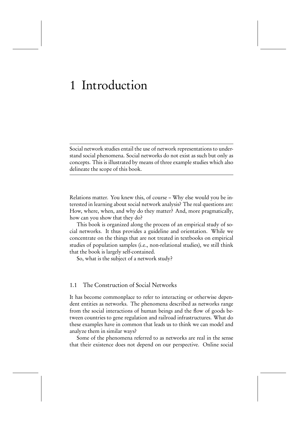## 1 Introduction

Social network studies entail the use of network representations to understand social phenomena. Social networks do not exist as such but only as concepts. This is illustrated by means of three example studies which also delineate the scope of this book.

Relations matter. You knew this, of course – Why else would you be interested in learning about social network analysis? The real questions are: How, where, when, and why do they matter? And, more pragmatically, how can you show that they do?

This book is organized along the process of an empirical study of social networks. It thus provides a guideline and orientation. While we concentrate on the things that are not treated in textbooks on empirical studies of population samples (i.e., non-relational studies), we still think that the book is largely self-contained.

So, what is the subject of a network study?

#### 1.1 The Construction of Social Networks

It has become commonplace to refer to interacting or otherwise dependent entities as networks. The phenomena described as networks range from the social interactions of human beings and the flow of goods between countries to gene regulation and railroad infrastructures. What do these examples have in common that leads us to think we can model and analyze them in similar ways?

Some of the phenomena referred to as networks are real in the sense that their existence does not depend on our perspective. Online social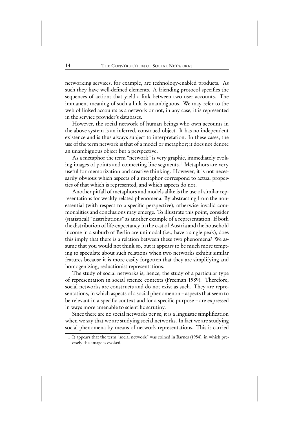networking services, for example, are technology-enabled products. As such they have well-defined elements. A friending protocol specifies the sequences of actions that yield a link between two user accounts. The immanent meaning of such a link is unambiguous. We may refer to the web of linked accounts as a network or not, in any case, it is represented in the service provider's databases.

However, the social network of human beings who own accounts in the above system is an inferred, construed object. It has no independent existence and is thus always subject to interpretation. In these cases, the use of the term network is that of a model or metaphor; it does not denote an unambiguous object but a perspective.

As a metaphor the term "network" is very graphic, immediately evoking images of points and connecting line segments.<sup>1</sup> Metaphors are very useful for memorization and creative thinking. However, it is not necessarily obvious which aspects of a metaphor correspond to actual properties of that which is represented, and which aspects do not.

Another pitfall of metaphors and models alike is the use of similar representations for weakly related phenomena. By abstracting from the nonessential (with respect to a specific perspective), otherwise invalid commonalities and conclusions may emerge. To illustrate this point, consider (statistical) "distributions" as another example of a representation. If both the distribution of life-expectancy in the east of Austria and the household income in a suburb of Berlin are unimodal (i.e., have a single peak), does this imply that there is a relation between these two phenomena? We assume that you would not think so, but it appears to be much more tempting to speculate about such relations when two networks exhibit similar features because it is more easily forgotten that they are simplifying and homogenizing, reductionist representations.

The study of social networks is, hence, the study of a particular type of representation in social science contexts (Freeman 1989). Therefore, social networks are constructs and do not exist as such. They are representations, in which aspects of a social phenomenon – aspects that seem to be relevant in a specific context and for a specific purpose – are expressed in ways more amenable to scientific scrutiny.

Since there are no social networks per se, it is a linguistic simplification when we say that we are studying social networks. In fact we are studying social phenomena by means of network representations. This is carried

<sup>1</sup> It appears that the term "social network" was coined in Barnes (1954), in which precisely this image is evoked.